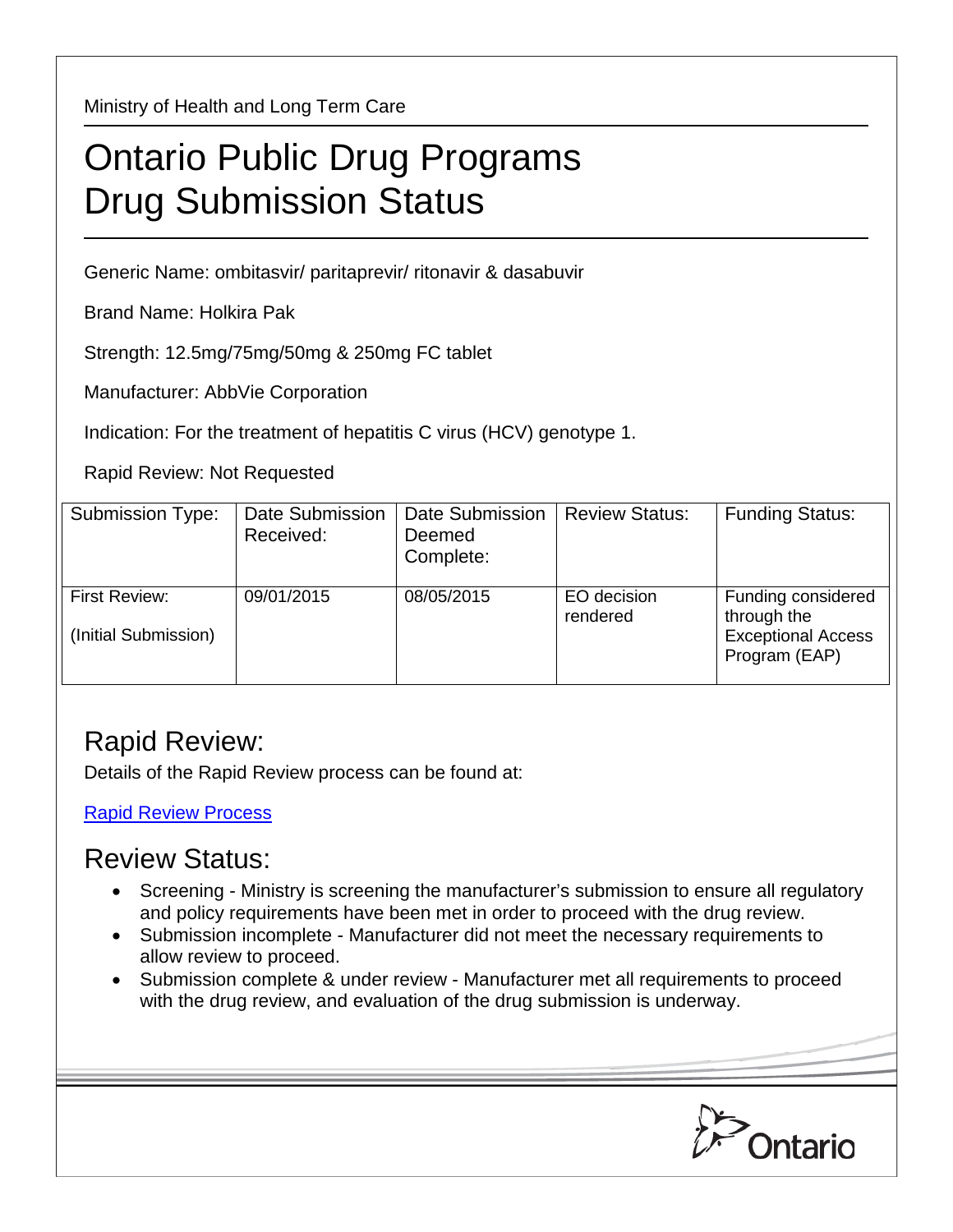Ministry of Health and Long Term Care

## Ontario Public Drug Programs Drug Submission Status

Generic Name: ombitasvir/ paritaprevir/ ritonavir & dasabuvir

Brand Name: Holkira Pak

Strength: 12.5mg/75mg/50mg & 250mg FC tablet

Manufacturer: AbbVie Corporation

Indication: For the treatment of hepatitis C virus (HCV) genotype 1.

Rapid Review: Not Requested

| <b>Submission Type:</b>               | Date Submission<br>Received: | Date Submission<br>Deemed<br>Complete: | <b>Review Status:</b>   | <b>Funding Status:</b>                                                          |
|---------------------------------------|------------------------------|----------------------------------------|-------------------------|---------------------------------------------------------------------------------|
| First Review:<br>(Initial Submission) | 09/01/2015                   | 08/05/2015                             | EO decision<br>rendered | Funding considered<br>through the<br><b>Exceptional Access</b><br>Program (EAP) |

## Rapid Review:

Details of the Rapid Review process can be found at:

[Rapid Review Process](http://www.health.gov.on.ca/en/pro/programs/drugs/drug_submissions/rapid_review_process.aspx)

## Review Status:

- Screening Ministry is screening the manufacturer's submission to ensure all regulatory and policy requirements have been met in order to proceed with the drug review.
- Submission incomplete Manufacturer did not meet the necessary requirements to allow review to proceed.
- Submission complete & under review Manufacturer met all requirements to proceed with the drug review, and evaluation of the drug submission is underway.